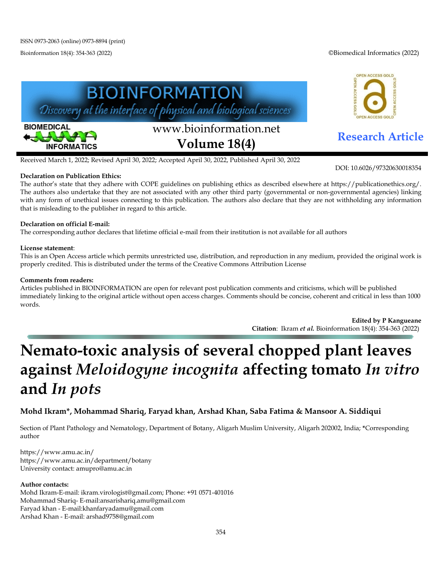Bioinformation 18(4): 354-363 (2022) ©Biomedical Informatics (2022)

OPEN ACCESS GOLD

DOI: 10.6026/97320630018354



Received March 1, 2022; Revised April 30, 2022; Accepted April 30, 2022, Published April 30, 2022

# **Declaration on Publication Ethics:**

The author's state that they adhere with COPE guidelines on publishing ethics as described elsewhere at https://publicationethics.org/. The authors also undertake that they are not associated with any other third party (governmental or non-governmental agencies) linking with any form of unethical issues connecting to this publication. The authors also declare that they are not withholding any information that is misleading to the publisher in regard to this article.

# **Declaration on official E-mail:**

The corresponding author declares that lifetime official e-mail from their institution is not available for all authors

# **License statement**:

This is an Open Access article which permits unrestricted use, distribution, and reproduction in any medium, provided the original work is properly credited. This is distributed under the terms of the Creative Commons Attribution License

# **Comments from readers:**

Articles published in BIOINFORMATION are open for relevant post publication comments and criticisms, which will be published immediately linking to the original article without open access charges. Comments should be concise, coherent and critical in less than 1000 words.

> **Edited by P Kangueane Citation**: Ikram *et al.* Bioinformation 18(4): 354-363 (2022)

# **Nemato-toxic analysis of several chopped plant leaves against** *Meloidogyne incognita* **affecting tomato** *In vitro* **and** *In pots*

# **Mohd Ikram\*, Mohammad Shariq, Faryad khan, Arshad Khan, Saba Fatima & Mansoor A. Siddiqui**

Section of Plant Pathology and Nematology, Department of Botany, Aligarh Muslim University, Aligarh 202002, India; **\***Corresponding author

https://www.amu.ac.in/ https://www.amu.ac.in/department/botany University contact: amupro@amu.ac.in

# **Author contacts:**

Mohd Ikram-E-mail[: ikram.virologist@gmail.com;](mailto:ikram.virologist@gmail.com) Phone: +91 0571-401016 Mohammad Shariq- E-mail:ansarishariq.amu@gmail.com Faryad khan - E-mail:khanfaryadamu@gmail.com Arshad Khan - E-mail[: arshad9758@gmail.com](mailto:arshad9758@gmail.com)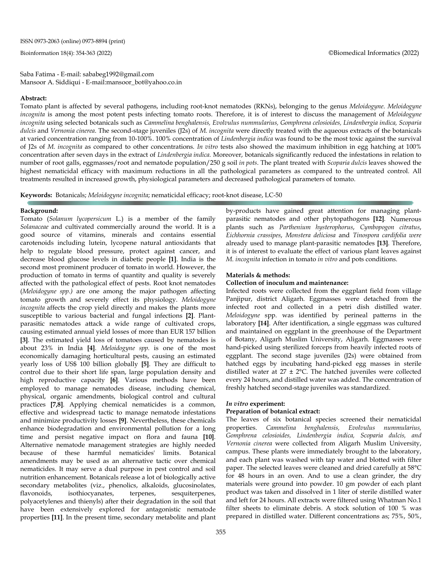Bioinformation 18(4): 354-363 (2022) ©Biomedical Informatics (2022)

Saba Fatima - E-mail: sababeg1992@gmail.com Mansoor A. Siddiqui - E-mail:mansoor\_bot@yahoo.co.in

#### **Abstract:**

Tomato plant is affected by several pathogens, including root-knot nematodes (RKNs), belonging to the genus *Meloidogyne*. *Meloidogyne incognita* is among the most potent pests infecting tomato roots. Therefore, it is of interest to discuss the management of *Meloidogyne incognita* using selected botanicals such as *Cammelina benghalensis, Evolvulus nummularius, Gomphrena celosioides, Lindenbergia indica, Scoparia dulcis* and *Vernonia cinerea*. The second-stage juveniles (J2s) of *M. incognita* were directly treated with the aqueous extracts of the botanicals at varied concentration ranging from 10-100%. 100% concentration of *Lindenbergia indica* was found to be the most toxic against the survival of J2s of *M. incognita* as compared to other concentrations. *In vitro* tests also showed the maximum inhibition in egg hatching at 100% concentration after seven days in the extract of *Lindenbergia indica.* Moreover, botanicals significantly reduced the infestations in relation to number of root galls, eggmasses/root and nematode population/250 g soil *in pots*. The plant treated with *Scoparia dulcis* leaves showed the highest nematicidal efficacy with maximum reductions in all the pathological parameters as compared to the untreated control. All treatments resulted in increased growth, physiological parameters and decreased pathological parameters of tomato.

**Keywords:** Botanicals; *Meloidogyne incognita*; nematicidal efficacy; root-knot disease, LC-50

### **Background:**

Tomato (*Solanum lycopersicum* L.) is a member of the family *Solanaceae* and cultivated commercially around the world. It is a good source of vitamins, minerals and contains essential carotenoids including lutein, lycopene natural antioxidants that help to regulate blood pressure, protect against cancer, and decrease blood glucose levels in diabetic people **[1]**. India is the second most prominent producer of tomato in world. However, the production of tomato in terms of quantity and quality is severely affected with the pathological effect of pests. Root knot nematodes (*Meloidogyne spp.)* are one among the major pathogen affecting tomato growth and severely effect its physiology. *Meloidogyne incognita* affects the crop yield directly and makes the plants more susceptible to various bacterial and fungal infections **[2]**. Plantparasitic nematodes attack a wide range of cultivated crops, causing estimated annual yield losses of more than EUR 157 billion **[3]**. The estimated yield loss of tomatoes caused by nematodes is about 23% in India **[4]**. *Meloidogyne spp.* is one of the most economically damaging horticultural pests, causing an estimated yearly loss of US\$ 100 billion globally **[5]**. They are difficult to control due to their short life span, large population density and high reproductive capacity **[6]**. Various methods have been employed to manage nematodes disease, including chemical, physical, organic amendments, biological control and cultural practices **[7,8]**. Applying chemical nematicides is a common, effective and widespread tactic to manage nematode infestations and minimize productivity losses **[9]**. Nevertheless, these chemicals enhance biodegradation and environmental pollution for a long time and persist negative impact on flora and fauna **[10]**. Alternative nematode management strategies are highly needed because of these harmful nematicides' limits. Botanical amendments may be used as an alternative tactic over chemical nematicides. It may serve a dual purpose in pest control and soil nutrition enhancement. Botanicals release a lot of biologically active secondary metabolites (viz., phenolics, alkaloids, glucosinolates, flavonoids, isothiocyanates, terpenes, sesquiterpenes, polyacetylenes and thienyls) after their degradation in the soil that have been extensively explored for antagonistic nematode properties **[11]**. In the present time, secondary metabolite and plant

by-products have gained great attention for managing plantparasitic nematodes and other phytopathogens **[12]**. Numerous plants such as *Parthenium hysterophorus*, *Cymbopogon citratus*, *Eichhornia crassipes*, *Monstera deliciosa* and *Tinospora cardifolia were*  already used to manage plant-parasitic nematodes **[13]**. Therefore, it is of interest to evaluate the effect of various plant leaves against *M. incognita* infection in tomato *in vitro* and pots conditions.

# **Materials & methods:**

# **Collection of inoculum and maintenance:**

Infected roots were collected from the eggplant field from village Panjipur, district Aligarh. Eggmasses were detached from the infected root and collected in a petri dish distilled water. *Meloidogyne* spp. was identified by perineal patterns in the laboratory **[14]**. After identification, a single eggmass was cultured and maintained on eggplant in the greenhouse of the Department of Botany, Aligarh Muslim University, Aligarh. Eggmasses were hand-picked using sterilized forceps from heavily infected roots of eggplant. The second stage juveniles (J2s) were obtained from hatched eggs by incubating hand-picked egg masses in sterile distilled water at  $27 \pm 2$ °C. The hatched juveniles were collected every 24 hours, and distilled water was added. The concentration of freshly hatched second-stage juveniles was standardized.

#### *In vitro* **experiment:**

#### **Preparation of botanical extract:**

The leaves of six botanical species screened their nematicidal properties. *Cammelina benghalensis, Evolvulus nummularius, Gomphrena celosioides, Lindenbergia indica, Scoparia dulcis, and Vernonia cinerea* were collected from Aligarh Muslim University, campus. These plants were immediately brought to the laboratory, and each plant was washed with tap water and blotted with filter paper. The selected leaves were cleaned and dried carefully at 58°C for 48 hours in an oven. And to use a clean grinder, the dry materials were ground into powder. 10 gm powder of each plant product was taken and dissolved in 1 liter of sterile distilled water and left for 24 hours. All extracts were filtered using Whatman No.1 filter sheets to eliminate debris. A stock solution of 100 % was prepared in distilled water. Different concentrations as; 75%, 50%,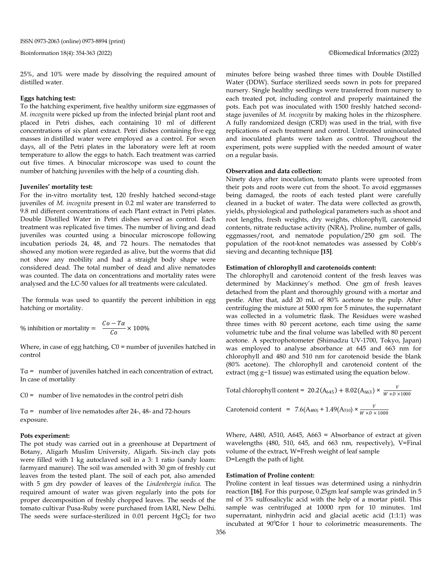25%, and 10% were made by dissolving the required amount of distilled water.

#### **Eggs hatching test:**

To the hatching experiment, five healthy uniform size eggmasses of *M. incognita* were picked up from the infected brinjal plant root and placed in Petri dishes, each containing 10 ml of different concentrations of six plant extract. Petri dishes containing five egg masses in distilled water were employed as a control. For seven days, all of the Petri plates in the laboratory were left at room temperature to allow the eggs to hatch. Each treatment was carried out five times. A binocular microscope was used to count the number of hatching juveniles with the help of a counting dish.

#### **Juveniles' mortality test:**

For the in-vitro mortality test, 120 freshly hatched second-stage juveniles of *M. incognita* present in 0.2 ml water are transferred to 9.8 ml different concentrations of each Plant extract in Petri plates. Double Distilled Water in Petri dishes served as control. Each treatment was replicated five times. The number of living and dead juveniles was counted using a binocular microscope following incubation periods 24, 48, and 72 hours. The nematodes that showed any motion were regarded as alive, but the worms that did not show any mobility and had a straight body shape were considered dead. The total number of dead and alive nematodes was counted. The data on concentrations and mortality rates were analysed and the LC-50 values for all treatments were calculated.

The formula was used to quantify the percent inhibition in egg hatching or mortality.

% inhibition or mortality =  $\frac{Co - Ta}{Co} \times 100\%$ 

Where, in case of egg hatching,  $CO =$  number of juveniles hatched in control

 $Ta = number of juvenile shaded in each concentration of extract,$ In case of mortality

 $CO =$  number of live nematodes in the control petri dish

T $\alpha$  = number of live nematodes after 24-, 48- and 72-hours exposure.

#### **Pots experiment:**

The pot study was carried out in a greenhouse at Department of Botany, Aligarh Muslim University, Aligarh. Six-inch clay pots were filled with 1 kg autoclaved soil in a 3: 1 ratio (sandy loam: farmyard manure). The soil was amended with 30 gm of freshly cut leaves from the tested plant. The soil of each pot, also amended with 5 gm dry powder of leaves of the *Lindenbergia indica.* The required amount of water was given regularly into the pots for proper decomposition of freshly chopped leaves. The seeds of the tomato cultivar Pusa-Ruby were purchased from IARI, New Delhi. The seeds were surface-sterilized in 0.01 percent HgCl<sub>2</sub> for two minutes before being washed three times with Double Distilled Water (DDW). Surface sterilized seeds sown in pots for prepared nursery. Single healthy seedlings were transferred from nursery to each treated pot, including control and properly maintained the pots. Each pot was inoculated with 1500 freshly hatched secondstage juveniles of *M. incognita* by making holes in the rhizosphere. A fully randomized design (CRD) was used in the trial, with five replications of each treatment and control. Untreated uninoculated and inoculated plants were taken as control. Throughout the experiment, pots were supplied with the needed amount of water on a regular basis.

# **Observation and data collection:**

Ninety days after inoculation, tomato plants were uprooted from their pots and roots were cut from the shoot. To avoid eggmasses being damaged, the roots of each tested plant were carefully cleaned in a bucket of water. The data were collected as growth, yields, physiological and pathological parameters such as shoot and root lengths, fresh weights, dry weights, chlorophyll, carotenoid contents, nitrate reductase activity (NRA), Proline, number of galls, eggmasses/root, and nematode population/250 gm soil. The population of the root-knot nematodes was assessed by Cobb's sieving and decanting technique **[15]**.

### **Estimation of chlorophyll and carotenoids content:**

The chlorophyll and carotenoid content of the fresh leaves was determined by Mackinney's method. One gm of fresh leaves detached from the plant and thoroughly ground with a mortar and pestle. After that, add 20 mL of 80% acetone to the pulp. After centrifuging the mixture at 5000 rpm for 5 minutes, the supernatant was collected in a volumetric flask. The Residues were washed three times with 80 percent acetone, each time using the same volumetric tube and the final volume was labelled with 80 percent acetone. A spectrophotometer (Shimadzu UV-1700, Tokyo, Japan) was employed to analyse absorbance at 645 and 663 nm for chlorophyll and 480 and 510 nm for carotenoid beside the blank (80% acetone). The chlorophyll and carotenoid content of the extract (mg g−1 tissue) was estimated using the equation below.

Total chlorophyll content = 
$$
20.2(A_{645}) + 8.02(A_{663}) \times \frac{v}{W \times D \times 1000}
$$

Carotenoid content =  $7.6(A_{480)} + 1.49(A_{510}) \times \frac{V}{W \times D \times 1000}$ 

Where, A480, A510, A645, A663 = Absorbance of extract at given wavelengths (480, 510, 645, and 663 nm, respectively), V=Final volume of the extract, W=Fresh weight of leaf sample D=Length the path of light.

#### **Estimation of Proline content:**

Proline content in leaf tissues was determined using a ninhydrin reaction **[16]**. For this purpose, 0.25gm leaf sample was grinded in 5 ml of 3% sulfosalicylic acid with the help of a mortar pistil. This sample was centrifuged at 10000 rpm for 10 minutes. 1ml supernatant, ninhydrin acid and glacial acetic acid (1:1:1) was incubated at 90℃for 1 hour to colorimetric measurements. The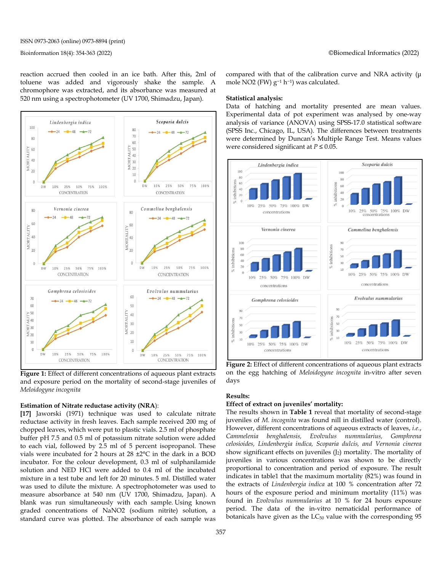reaction accrued then cooled in an ice bath. After this, 2ml of toluene was added and vigorously shake the sample. A chromophore was extracted, and its absorbance was measured at 520 nm using a spectrophotometer (UV 1700, Shimadzu, Japan).



**Figure 1:** Effect of different concentrations of aqueous plant extracts and exposure period on the mortality of second-stage juveniles of *Meloidogyne incognita*

#### **Estimation of Nitrate reductase activity (NRA**):

**[17]** Jaworski (1971) technique was used to calculate nitrate reductase activity in fresh leaves. Each sample received 200 mg of chopped leaves, which were put to plastic vials. 2.5 ml of phosphate buffer pH 7.5 and 0.5 ml of potassium nitrate solution were added to each vial, followed by 2.5 ml of 5 percent isopropanol. These vials were incubated for 2 hours at 28 ±2°C in the dark in a BOD incubator. For the colour development, 0.3 ml of sulphanilamide solution and NED HCl were added to 0.4 ml of the incubated mixture in a test tube and left for 20 minutes. 5 ml. Distilled water was used to dilute the mixture. A spectrophotometer was used to measure absorbance at 540 nm (UV 1700, Shimadzu, Japan). A blank was run simultaneously with each sample. Using known graded concentrations of NaNO2 (sodium nitrite) solution, a standard curve was plotted. The absorbance of each sample was

compared with that of the calibration curve and NRA activity (μ mole NO2 (FW) g−<sup>1</sup> h−1) was calculated.

### **Statistical analysis:**

Data of hatching and mortality presented are mean values. Experimental data of pot experiment was analysed by one-way analysis of variance (ANOVA) using SPSS-17.0 statistical software (SPSS Inc., Chicago, IL, USA). The differences between treatments were determined by Duncan's Multiple Range Test. Means values were considered significant at *P* ≤ 0.05.



**Figure 2:** Effect of different concentrations of aqueous plant extracts on the egg hatching of *Meloidogyne incognita* in-vitro after seven days

# **Results:**

# **Effect of extract on juveniles' mortality:**

The results shown in **Table 1** reveal that mortality of second-stage juveniles of *M. incognita* was found nill in distilled water (control). However, different concentrations of aqueous extracts of leaves, *i.e.*, *Cammelenia benghalensis, Evolvulus nummularius, Gomphrena celosioides, Lindenbergia indica, Scoparia dulcis, and Vernonia cinerea* show significant effects on juveniles  $(I_2)$  mortality. The mortality of juveniles in various concentrations was shown to be directly proportional to concentration and period of exposure. The result indicates in table1 that the maximum mortality (82%) was found in the extracts of *Lindenbergia indica* at 100 % concentration after 72 hours of the exposure period and minimum mortality (11%) was found in *Evolvulus nummularius* at 10 % for 24 hours exposure period. The data of the in-vitro nematicidal performance of botanicals have given as the  $LC_{50}$  value with the corresponding  $95$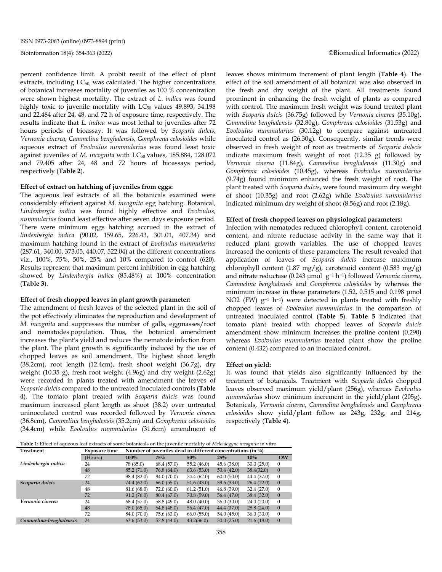percent confidence limit. A probit result of the effect of plant extracts, including  $LC_{50}$ , was calculated. The higher concentrations of botanical increases mortality of juveniles as 100 % concentration were shown highest mortality. The extract of *L. indica* was found highly toxic to juvenile mortality with  $LC_{50}$  values 49.893, 34.198 and 22.484 after 24, 48, and 72 h of exposure time, respectively. The results indicate that *L. indica* was most lethal to juveniles after 72 hours periods of bioassay. It was followed by *Scoparia dulcis, Vernonia cinerea, Cammelina benghalensis, Gomphrena celosioides* while aqueous extract of *Evolvulus nummularius* was found least toxic against juveniles of *M. incognita* with LC<sub>50</sub> values, 185.884, 128.072 and 79.405 after 24, 48 and 72 hours of bioassays period, respectively (**Table 2**).

### **Effect of extract on hatching of juveniles from eggs:**

The aqueous leaf extracts of all the botanicals examined were considerably efficient against *M. incognita* egg hatching*.* Botanical, *Lindenbergia indica* was found highly effective and *Evolvulus, nummularius* found least effective after seven days exposure period. There were minimum eggs hatching accrued in the extract of *lindenbergia indica* (90.02, 159.65, 226.43, 301.01, 407.34) and maximum hatching found in the extract of *Evolvulus nummularius*  (287.61, 340.00, 373.05, 440.07, 522.04) at the different concentrations viz., 100%, 75%, 50%, 25% and 10% compared to control (620). Results represent that maximum percent inhibition in egg hatching showed by *Lindenbergia indica* (85.48%) at 100% concentration (**Table 3**).

#### **Effect of fresh chopped leaves in plant growth parameter:**

The amendment of fresh leaves of the selected plant in the soil of the pot effectively eliminates the reproduction and development of *M. incognita* and suppresses the number of galls, eggmasses/root and nematodes population. Thus, the botanical amendment increases the plant's yield and reduces the nematode infection from the plant. The plant growth is significantly induced by the use of chopped leaves as soil amendment. The highest shoot length (38.2cm), root length (12.4cm), fresh shoot weight (36.7g), dry weight (10.35 g), fresh root weight (4.96g) and dry weight (2.62g) were recorded in plants treated with amendment the leaves of *Scoparia dulcis* compared to the untreated inoculated controls (**Table 4**). The tomato plant treated with *Scoparia dulcis* was found maximum increased plant length as shoot (38.2) over untreated uninoculated control was recorded followed by *Vernonia cinerea* (36.8cm), *Cammelina benghalensis* (35.2cm) and *Gomphrena celosioides* (34.4cm) while *Evolvulus nummularius* (31.6cm) amendment of leaves shows minimum increment of plant length (**Table 4**). The effect of the soil amendment of all botanical was also observed in the fresh and dry weight of the plant. All treatments found prominent in enhancing the fresh weight of plants as compared with control. The maximum fresh weight was found treated plant with *Scoparia dulcis* (36.75g) followed by *Vernonia cinerea* (35.10g), *Cammelina benghalensis* (32.80g), *Gomphrena celosioides* (31.53g) and *Evolvulus nummularius* (30.12g) to compare against untreated inoculated control as (26.30g). Consequently, similar trends were observed in fresh weight of root as treatments of *Scoparia dulscis* indicate maximum fresh weight of root (12.35 g) followed by *Vernonia cinerea* (11.84g), *Cammelina benghalensis* (11.30g) and *Gomphrena celosioides* (10.45g), whereas *Evolvulus nummularius*  (9.74g) found minimum enhanced the fresh weight of root. The plant treated with *Scoparia dulcis*, were found maximum dry weight of shoot (10.35g) and root (2.62g) while *Evolvulus nummularius*  indicated minimum dry weight of shoot (8.56g) and root (2.18g).

#### **Effect of fresh chopped leaves on physiological parameters:**

Infection with nematodes reduced chlorophyll content, carotenoid content, and nitrate reductase activity in the same way that it reduced plant growth variables. The use of chopped leaves increased the contents of these parameters. The result revealed that application of leaves of *Scoparia dulcis* increase maximum chlorophyll content (1.87 mg/g), carotenoid content (0.583 mg/g) and nitrate reductase (0.243 μmol g−<sup>1</sup> h−1) followed *Vernonia cinerea*, *Cammelina benghalensis* and *Gomphrena celosioides* by whereas the minimum increase in these parameters (1.52, 0.515 and 0.198 μmol NO2 (FW) g<sup>-1</sup> h<sup>-1</sup>) were detected in plants treated with freshly chopped leaves of *Evolvulus nummularius* in the comparison of untreated inoculated control (**Table 5**). **Table 5** indicated that tomato plant treated with chopped leaves of *Scoparia dulcis* amendment show minimum increases the proline content (0.290) whereas *Evolvulus nummularius* treated plant show the proline content (0.432) compared to an inoculated control.

#### **Effect on yield:**

It was found that yields also significantly influenced by the treatment of botanicals. Treatment with *Scoparia dulcis* chopped leaves observed maximum yield/plant (256g), whereas *Evolvulus nummularius* show minimum increment in the yield/plant (205g). Botanicals, *Vernonia cinerea*, *Cammelina benghalensis* and *Gomphrena celosioides* show yield/plant follow as 243g, 232g, and 214g, respectively (**Table 4**).

**Table 1:** Effect of aqueous leaf extracts of some botanicals on the juvenile mortality of *Meloidogyne incognita* in vitro

| Treatment              | <b>Exposure time</b> | Number of juveniles dead in different concentrations (in $\%$ ) |             |             |             |             |              |  |
|------------------------|----------------------|-----------------------------------------------------------------|-------------|-------------|-------------|-------------|--------------|--|
|                        | (Hours)              | $100\%$                                                         | 75%         | 50%         | 25%         | 10%         | <b>DW</b>    |  |
| Lindenbergia indica    | 24                   | 78 (65.0)                                                       | 68.4 (57.0) | 55.2(46.0)  | 45.6(38.0)  | 30.0(25.0)  | 0            |  |
|                        | 48                   | 85.2(71.0)                                                      | 76.8 (64.0) | 63.6(53.0)  | 50.4(42.0)  | 38.4(32.0)  | $\mathbf{0}$ |  |
|                        | 72                   | 98.4 (82.0)                                                     | 84.0 (70.0) | 74.4 (62.0) | 60.0(50.0)  | 44.4 (37.0) | $\mathbf{0}$ |  |
| Scoparia dulcis        | 24                   | 74.4 (62.0)                                                     | 66.0(55.0)  | 51.6(43.0)  | 39.6(33.0)  | 26.4(22.0)  | $\mathbf{0}$ |  |
|                        | 48                   | 81.6 (68.0)                                                     | 72.0 (60.0) | 61.2(51.0)  | 46.8(39.0)  | 32.4(27.0)  | $\mathbf{0}$ |  |
|                        | 72                   | 91.2(76.0)                                                      | 80.4 (67.0) | 70.8(59.0)  | 56.4 (47.0) | 38.4(32.0)  | $\theta$     |  |
| Vernonia cinerea       | 24                   | 68.4 (57.0)                                                     | 58.8 (49.0) | 48.0(40.0)  | 36.0(30.0)  | 24.0(20.0)  | $\mathbf{0}$ |  |
|                        | 48                   | 78.0 (65.0)                                                     | 64.8(48.0)  | 56.4 (47.0) | 44.4 (37.0) | 28.8(24.0)  | $\theta$     |  |
|                        | 72                   | 84.0 (70.0)                                                     | 75.6(63.0)  | 66.0(55.0)  | 54.0(45.0)  | 36.0(30.0)  | $\mathbf{0}$ |  |
| Cammelina-benghalensis | 24                   | 63.6(53.0)                                                      | 52.8(44.0)  | 43.2(36.0)  | 30.0(25.0)  | 21.6(18.0)  | $\mathbf{0}$ |  |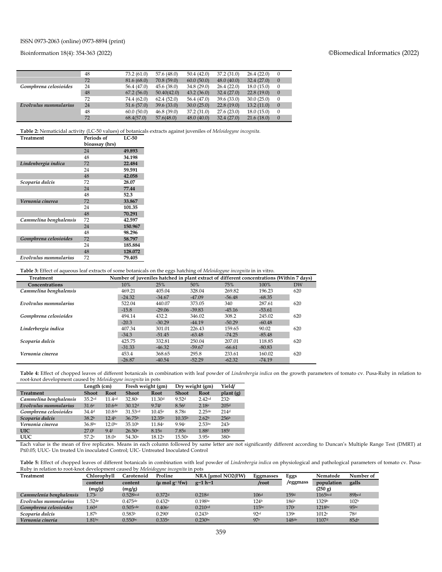#### Bioinformation 18(4): 354-363 (2022) ©Biomedical Informatics (2022)

|                       | 48 | 73.2(61.0)  | 57.6 (48.0) | 50.4(42.0)  | 37.2(31.0) | 26.4(22.0) | $\theta$     |
|-----------------------|----|-------------|-------------|-------------|------------|------------|--------------|
|                       | 72 | 81.6(68.0)  | 70.8(59.0)  | 60.0(50.0)  | 48.0(40.0) | 32.4(27.0) | $\theta$     |
| Gomphrena celosioides | 24 | 56.4 (47.0) | 45.6(38.0)  | 34.8(29.0)  | 26.4(22.0) | 18.0(15.0) | $\mathbf{0}$ |
|                       | 48 | 67.2(56.0)  | 50.40(42.0) | 43.2(36.0)  | 32.4(27.0) | 22.8(19.0) | $\theta$     |
|                       | 72 | 74.4 (62.0) | 62.4(52.0)  | 56.4 (47.0) | 39.6(33.0) | 30.0(25.0) | 0            |
| Evolvulus nummularius | 24 | 51.6(57.0)  | 39.6(33.0)  | 30.0(25.0)  | 22.8(19.0) | 13.2(11.0) | $\theta$     |
|                       | 48 | 60.0(50.0)  | 46.8(39.0)  | 37.2(31.0)  | 27.6(23.0) | 18.0(15.0) | $\theta$     |
|                       | 72 | 68.4(57.0)  | 57.6(48.0)  | 48.0(40.0)  | 32.4(27.0) | 21.6(18.0) | $\theta$     |

**Table 2:** Nematicidal activity (LC-50 values) of botanicals extracts against juveniles of *Meloidogyne incognita*.

| <b>Treatment</b>       | Periods of     | $LC-50$ |
|------------------------|----------------|---------|
|                        | bioassay (hrs) |         |
|                        | 24             | 49.893  |
|                        | 48             | 34.198  |
| Lindenbergia indica    | 72             | 22.484  |
|                        | 24             | 59.591  |
|                        | 48             | 42.058  |
| Scoparia dulcis        | 72             | 28.07   |
|                        | 24             | 77.44   |
|                        | 48             | 52.3    |
| Vernonia cinerea       | 72             | 33.867  |
|                        | 24             | 101.35  |
|                        | 48             | 70.291  |
| Cammelina benghalensis | 72             | 42.597  |
|                        | 24             | 150.967 |
|                        | 48             | 98.296  |
| Gomphrena celosioides  | 72             | 58.797  |
|                        | 24             | 185.884 |
|                        | 48             | 128.072 |
| Evolvulus nummularius  | 72             | 79.405  |

**Table 3:** Effect of aqueous leaf extracts of some botanicals on the eggs hatching of *Meloidogyne incognita* in in vitro.

| <b>Treatment</b>       | Number of juveniles hatched in plant extract of different concentrations (Within 7 days) |          |          |          |          |     |
|------------------------|------------------------------------------------------------------------------------------|----------|----------|----------|----------|-----|
| Concentrations         | 10%                                                                                      | 25%      | 50%      | 75%      | 100%     | DW  |
| Cammelina benghalensis | 469.21                                                                                   | 405.04   | 328.04   | 269.82   | 196.23   | 620 |
|                        | $-24.32$                                                                                 | $-34.67$ | $-47.09$ | $-56.48$ | $-68.35$ |     |
| Evolvulus nummularius  | 522.04                                                                                   | 440.07   | 373.05   | 340      | 287.61   | 620 |
|                        | $-15.8$                                                                                  | $-29.06$ | $-39.83$ | $-45.16$ | $-53.61$ |     |
| Gomphrena celosioides  | 494.14                                                                                   | 432.2    | 346.02   | 308.2    | 245.02   | 620 |
|                        | $-20.3$                                                                                  | $-30.29$ | $-44.19$ | $-50.29$ | $-60.48$ |     |
| Linderbergia indica    | 407.34                                                                                   | 301.01   | 226.43   | 159.65   | 90.02    | 620 |
|                        | $-34.3$                                                                                  | $-51.45$ | $-63.48$ | $-74.25$ | $-85.48$ |     |
| Scoparia dulcis        | 425.75                                                                                   | 332.81   | 250.04   | 207.01   | 118.85   | 620 |
|                        | $-31.33$                                                                                 | $-46.32$ | $-59.67$ | $-66.61$ | $-80.83$ |     |
| Vernonia cinerea       | 453.4                                                                                    | 368.65   | 295.8    | 233.61   | 160.02   | 620 |
|                        | $-26.87$                                                                                 | $-40.54$ | $-52.29$ | $-62.32$ | $-74.19$ |     |

**Table 4:** Effect of chopped leaves of different botanicals in combination with leaf powder of *Lindenbergia indica* on the growth parameters of tomato cv. Pusa-Ruby in relation to root-knot development caused by *Meloidogyne incognita* in pots

|                        | Length (cm)        |                    | Fresh weight (gm)  |                    | Dry weight (gm)    |                   | Yield/                |
|------------------------|--------------------|--------------------|--------------------|--------------------|--------------------|-------------------|-----------------------|
| <b>Treatment</b>       | <b>Shoot</b>       | Root               | <b>Shoot</b>       | Root               | <b>Shoot</b>       | Root              | plan <sub>t</sub> (g) |
| Cammelina benghalensis | 35.2cd             | 11.4 <sup>cd</sup> | 32.80c             | 11.30 <sup>d</sup> | 9.52 <sup>d</sup>  | 2.42cd            | 232c                  |
| Evolvulus nummularius  | 31.6 <sup>e</sup>  | $10.6$ de          | 30.12 <sup>d</sup> | 9.74f              | 8.56f              | 2.18 <sup>e</sup> | 205 <sup>d</sup>      |
| Gomphrena celosioides  | 34.4 <sup>d</sup>  | 10.8 <sup>de</sup> | 31.53cd            | 10.45e             | 8.78g              | $2.25$ de         | 214d                  |
| Scoparia dulcis        | 38.2 <sup>b</sup>  | 12.4 <sup>b</sup>  | 36.75 <sup>b</sup> | 12.35 <sup>b</sup> | 10.35 <sup>b</sup> | 2.62 <sup>b</sup> | 256 <sup>b</sup>      |
| Vernonia cinerea       | 36.8 <sup>bc</sup> | 12.0 <sub>bc</sub> | 35.10 <sup>b</sup> | 11.84c             | 9.94c              | 2.53bc            | 243c                  |
| <b>UIC</b>             | $27.0$ f           | $9.4$ f            | 26.50e             | 8.15g              | 7.85s              | 1.88f             | 185 <sup>f</sup>      |
| <b>UUC</b>             | 57.2a              | 18.0 <sup>a</sup>  | 54.30 <sup>a</sup> | 18.12a             | 15.50a             | 3.95a             | 380a                  |

Each value is the mean of five replicates. Means in each column followed by same letter are not significantly different according to Duncan's Multiple Range Test (DMRT) at P≤0.05; UUC- Un treated Un inoculated Control; UIC- Untreated Inoculated Control

**Table 5:** Effect of chopped leaves of different botanicals in combination with leaf powder of *Lindenbergia indica* on physiological and pathological parameters of tomato cv. Pusa-Ruby in relation to root-knot development caused by *Meloidogyne incognita* in pots

| Treatment               | Chlorophvll       | Carotenoid           | Proline                                      | NRA [µmol NO2(FW)   | Eggmasses        | Eggs             | Nematode            | Number of        |
|-------------------------|-------------------|----------------------|----------------------------------------------|---------------------|------------------|------------------|---------------------|------------------|
|                         | content           | content              | $(\mu \text{ mol g}^{-1} \text{f} \text{w})$ | $g-1 h-1$           | /root            | /eggmass         | population          | galls            |
|                         | (mg/g)            | (mg/g)               |                                              |                     |                  |                  | (250 g)             |                  |
| Cammelenia benghalensis | 1.73c             | 0.528 <sub>bcd</sub> | 0.372 <sup>d</sup>                           | 0.218 <sup>d</sup>  | 106 <sup>d</sup> | 159d             | 1165 <sub>bcd</sub> | 89bcd            |
| Evolvulus nummularius   | .52 <sup>de</sup> | $0.475$ de           | 0.432 <sup>b</sup>                           | 0.198 <sup>bc</sup> | 124 <sup>b</sup> | 186 <sup>b</sup> | 1329b               | 102 <sup>b</sup> |
| Gomphrena celosioides   | 1.60d             | $0.505$ cde          | 0.406c                                       | 0.210cd             | 115bc            | 170c             | 1218bc              | 95 <sub>bc</sub> |
| Scoparia dulcis         | 87b               | 0.583 <sup>b</sup>   | $0.290$ f                                    | 0.243 <sup>b</sup>  | 92ef             | 139e             | 1012e               | 78d              |
| Vernonia cineria        | $1.81$ bc         | 0.550 <sup>bc</sup>  | 0.335e                                       | $0.230$ bc          | 97e              | $148$ de         | 1107d               | 85de             |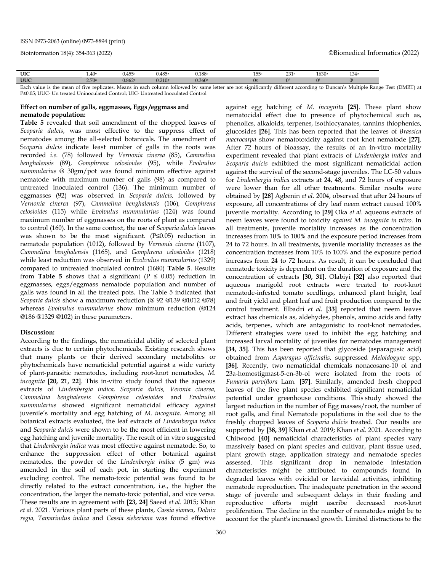Each value is the mean of five replicates. Means in each column followed by same letter are not significantly different according to Duncan's Multiple Range Test (DMRT) at P≤0.05; UUC- Un treated Uninoculated Control; UIC- Untreated Inoculated Control

### **Effect on number of galls, eggmasses, Eggs /eggmass and nematode population:**

**Table 5** revealed that soil amendment of the chopped leaves of *Scoparia dulcis*, was most effective to the suppress effect of nematodes among the all-selected botanicals. The amendment of S*coparia dulcis* indicate least number of galls in the roots was recorded *i.e*. (78) followed by *Vernonia cinerea* (85), *Cammelina benghalensis* (89)*, Gomphrena celosioides* (95), while *Evolvulus nummularius @* 30gm/pot was found minimum effective against nematode with maximum number of galls (98) as compared to untreated inoculated control (136). The minimum number of eggmasses (92) was observed in *Scoparia dulcis,* followed by *Vernonia cinerea* (97), *Cammelina benghalensis* (106)*, Gomphrena celosioides* (115) while *Evolvulus nummularius* (124) was found maximum number of eggmasses on the roots of plant as compared to control (160). In the same context, the use of *Scoparia dulcis* leaves was shown to be the most significant. (P≤0.05) reduction in nematode population (1012), followed by *Vernonia cinerea* (1107), *Cammelina benghalensis* (1165)*,* and *Gomphrena celosioides* (1218) while least reduction was observed in *Evolvulus nummularius* (1329) compared to untreated inoculated control (1680) **Table 5**. Results from **Table 5** shows that a significant ( $P \le 0.05$ ) reduction in eggmasses, eggs/eggmass nematode population and number of galls was found in all the treated pots. The Table 5 indicated that *Scoparia dulcis* show a maximum reduction (@ 92 @139 @1012 @78) whereas *Evolvulus nummularius* show minimum reduction (@124 @186 @1329 @102) in these parameters.

#### **Discussion:**

According to the findings, the nematicidal ability of selected plant extracts is due to certain phytochemicals. Existing research shows that many plants or their derived secondary metabolites or phytochemicals have nematicidal potential against a wide variety of plant-parasitic nematodes, including root-knot nematodes, *M. incognita* **[20, 21, 22]**. This in-vitro study found that the aqueous extracts of *Lindenbergia indica, Scoparia dulcis, Veronia cinerea, Cammelina benghalensis Gomphrena celosioides* and *Evolvulus nummularius* showed significant nematicidal efficacy against juvenile's mortality and egg hatching of *M. incognita.* Among all botanical extracts evaluated, the leaf extracts of *Lindenbergia indica* and *Scoparia dulcis* were shown to be the most efficient in lowering egg hatching and juvenile mortality. The result of in vitro suggested that *Lindenbergia indica* was most effective against nematode. So, to enhance the suppression effect of other botanical against nematodes, the powder of the *Lindenbergia indica* (5 gm) was amended in the soil of each pot, in starting the experiment excluding control. The nemato-toxic potential was found to be directly related to the extract concentration, i.e., the higher the concentration, the larger the nemato-toxic potential, and vice versa. These results are in agreement with **[23, 24]** Saeed *et al*. 2015; Khan *et al*. 2021. Various plant parts of these plants, *Cassia siamea*, *Dolnix regia, Tamarindus indica* and *Cassia sieberiana* was found effective

360

against egg hatching of *M. incognita* **[25]**. These plant show nematocidal effect due to presence of phytochemical such as, phenolics, alkaloids, terpenes, isothiocyanates, tannins thiophenics, glucosides **[26]**. This has been reported that the leaves of *Brassica macrocarpa* show nematotoxicity against root knot nematode **[27]**. After 72 hours of bioassay, the results of an in-vitro mortality experiment revealed that plant extracts of *Lindenbergia indica* and *Scoparia dulcis* exhibited the most significant nematicidal action against the survival of the second-stage juveniles. The LC-50 values for *Lindenbergia indica* extracts at 24, 48, and 72 hours of exposure were lower than for all other treatments. Similar results were obtained by **[28]** Agbenin *et al*. 2004, observed that after 24 hours of exposure, all concentrations of dry leaf neem extract caused 100% juvenile mortality. According to **[29]** Oka *et al*. aqueous extracts of neem leaves were found to toxicity *against M. incognita in vitro*. In all treatments, juvenile mortality increases as the concentration increases from 10% to 100% and the exposure period increases from 24 to 72 hours. In all treatments, juvenile mortality increases as the concentration increases from 10% to 100% and the exposure period increases from 24 to 72 hours. As result, it can be concluded that nematode toxicity is dependent on the duration of exposure and the concentration of extracts **[30, 31]**. Olabiyi **[32]** also reported that aqueous marigold root extracts were treated to root-knot nematode-infested tomato seedlings, enhanced plant height, leaf and fruit yield and plant leaf and fruit production compared to the control treatment. Elbadri *et al*. **[33]** reported that neem leaves extract has chemicals as, aldehydes, phenols, amino acids and fatty acids, terpenes, which are antagonistic to root-knot nematodes. Different strategies were used to inhibit the egg hatching and increased larval mortality of juveniles for nematodes management **[34, 35]**. This has been reported that glycoside (asparagusic acid) obtained from *Asparagus officinalis*, suppressed *Meloidogyne* spp. **[36]**. Recently, two nematicidal chemicals nonacosane-10 ol and 23a-homostigmast-5-en-3b-ol were isolated from the roots of *Fumaria parviflora* Lam. **[37]**. Similarly, amended fresh chopped leaves of the five plant species exhibited significant nematicidal potential under greenhouse conditions. This study showed the largest reduction in the number of Egg masses/root, the number of root galls, and final Nematode populations in the soil due to the freshly chopped leaves of *Scoparia dulcis* treated. Our results are supported by **[38, 39]** Khan *et al*. 2019; Khan *et al*. 2021. According to Chitwood **[40]** nematicidal characteristics of plant species vary massively based on plant species and cultivar, plant tissue used, plant growth stage, application strategy and nematode species assessed. This significant drop in nematode infestation characteristics might be attributed to compounds found in degraded leaves with ovicidal or larvicidal activities, inhibiting nematode reproduction. The inadequate penetration in the second stage of juvenile and subsequent delays in their feeding and reproductive efforts might ascribe decreased root-knot proliferation. The decline in the number of nematodes might be to account for the plant's increased growth. Limited distractions to the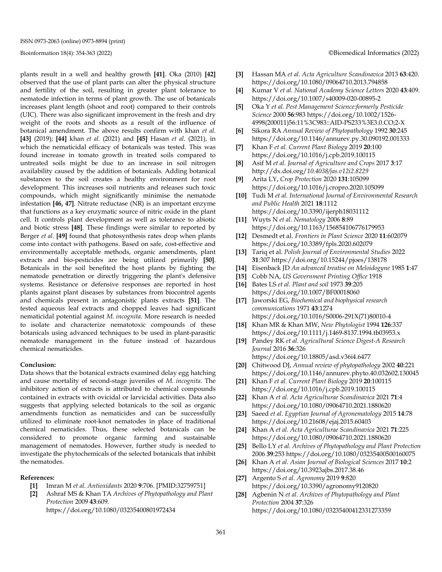plants result in a well and healthy growth **[41]**. Oka (2010) **[42]**  observed that the use of plant parts can alter the physical structure and fertility of the soil, resulting in greater plant tolerance to nematode infection in terms of plant growth. The use of botanicals increases plant length (shoot and root) compared to their controls (UIC). There was also significant improvement in the fresh and dry weight of the roots and shoots as a result of the influence of botanical amendment. The above results confirm with khan *et al.*  **[43]** (2019); **[44]** khan *et al.* (2021) and **[45]** Hasan *et al*. (2021), in which the nematicidal efficacy of botanicals was tested. This was found increase in tomato growth in treated soils compared to untreated soils might be due to an increase in soil nitrogen availability caused by the addition of botanicals. Adding botanical substances to the soil creates a healthy environment for root development. This increases soil nutrients and releases such toxic compounds, which might significantly minimise the nematode infestation **[46, 47]**. Nitrate reductase (NR) is an important enzyme that functions as a key enzymatic source of nitric oxide in the plant cell. It controls plant development as well as tolerance to abiotic and biotic stress **[48]**. These findings were similar to reported by Berger *et al*. **[49]** found that photosynthesis rates drop when plants come into contact with pathogens. Based on safe, cost-effective and environmentally acceptable methods, organic amendments, plant extracts and bio-pesticides are being utilized primarily **[50]**. Botanicals in the soil benefited the host plants by fighting the nematode penetration or directly triggering the plant's defensive systems. Resistance or defensive responses are reported in host plants against plant diseases by substances from biocontrol agents and chemicals present in antagonistic plants extracts **[51]**. The tested aqueous leaf extracts and chopped leaves had significant nematicidal potential against *M. incognita*. More research is needed to isolate and characterize nematotoxic compounds of these botanicals using advanced techniques to be used in plant-parasitic nematode management in the future instead of hazardous chemical nematicides.

#### **Conclusion:**

Data shows that the botanical extracts examined delay egg hatching and cause mortality of second-stage juveniles of *M. incognita*. The inhibitory action of extracts is attributed to chemical compounds contained in extracts with ovicidal or larvicidal activities. Data also suggests that applying selected botanicals to the soil as organic amendments function as nematicides and can be successfully utilized to eliminate root-knot nematodes in place of traditional chemical nematicides. Thus, these selected botanicals can be considered to promote organic farming and sustainable management of nematodes. However, further study is needed to investigate the phytochemicals of the selected botanicals that inhibit the nematodes.

#### **References:**

- **[1]** Imran M *et al. Antioxidants* 2020 **9**:706. [PMID:32759751]
- **[2]** Ashraf MS & Khan TA *Archives of Phytopathology and Plant Protection* 2009 **43**:609. https://doi.org/10.1080/03235400801972434
- **[3]** Hassan MA *et al. Acta Agriculture Scandinavica* 2013 **63**:420. https://doi.org/10.1080/09064710.2013.794858
- **[4]** Kumar V *et al. National Academy Science Letters* 2020 **43**:409. https://doi.org/10.1007/s40009-020-00895-2
- **[5]** Oka Y *et al. Pest Management Science:formerly Pesticide Science* 2000 **56**:983 https://doi.org/10.1002/1526- 4998(200011)56:11%3C983::AID-PS233%3E3.0.CO;2-X
- **[6]** Sikora RA *Annual Review of Phytopathology* 1992 **30**:245 https://doi.org/10.1146/annurev.py.30.090192.001333
- **[7]** Khan F *et al. Current Plant Biology* 2019 **20**:100 https://doi.org/10.1016/j.cpb.2019.100115
- **[8]** Asif M *et al. Journal of Agriculture and Crops* 2017 **3**:17 http://dx.doi.org/*10.4038/jas.v12i2.8229*
- **[9]** Arita LY, *Crop Protection* 2020 **131**:105099 <https://doi.org/10.1016/j.cropro.2020.105099>
- **[10]** Tudi M *et al. International Journal of Environmental Research and Public Health* 2021 **18**:1112 https://doi.org/10.3390/ijerph18031112
- **[11]** Wuyts N *et al. Nematology* 2006 **8**:89 https://doi.org/10.1163/156854106776179953
- **[12]** Desmedt et al. *Frontiers in Plant Science* 2020 **11**:602079 https://doi.org/10.3389/fpls.2020.602079
- **[13]** Tariq et al. *Polish Journal of Environmental Studies* 2022 **31**:307 https://doi.org/10.15244/pjoes/138178
- **[14]** Eisenback JD *An advanced treatise on Meloidogyne* 1985 **1**:47
- **[15]** Cobb NA, *US Government Printing Office* 1918
- **[16]** Bates LS *et al. Plant and soil* 1973 **39**:205 https://doi.org/10.1007/BF00018060
- **[17]** Jaworski EG, *Biochemical and biophysical research communications* 1971 **43**:1274 https://doi.org/10.1016/S0006-291X(71)80010-4
- **[18]** Khan MR & Khan MW, *New Phytologist* 1994 **126**:337 https://doi.org/10.1111/j.1469-8137.1994.tb03953.x
- **[19]** Pandey RK *et al. Agricultural Science Digest-A Research Journal* 2016 **36**:326 https://doi.org/10.18805/asd.v36i4.6477
- **[20]** Chitwood DJ, *Annual review of phytopathology* 2002 **40**:221 https://doi.org/10.1146/annurev.phyto.40.032602.130045
- **[21]** Khan F *et al. Current Plant Biology* 2019 **20**:100115 https://doi.org/10.1016/j.cpb.2019.100115
- **[22]** Khan A *et al. Acta Agriculturae Scandinavica* 2021 **71**:4 <https://doi.org/10.1080/09064710.2021.1880620>
- **[23]** Saeed *et al*. *Egyptian Journal of Agronematology* 2015 **14**:78 https://doi.org/10.21608/ejaj.2015.60403
- **[24]** Khan A *et al. Acta Agriculturae Scandinavica* 2021 **71**:225 https://doi.org/10.1080/09064710.2021.1880620
- **[25]** Bello LY *et al. Archives of Phytopathology and Plant Protection* 2006 **39**:253 https://doi.org/10.1080/03235400500160075
- **[26]** Khan A *et al. Asian Journal of [Biological](https://www.researchgate.net/journal/Asian-Journal-of-Biological-Sciences-1996-3351) Sciences* 2017 **10**:2 https://doi.org/10.3923ajbs.2017.38.46
- **[27]** Argento S *et al. Agronomy* 2019 **9**:820 https://doi.org/10.3390/agronomy9120820
- **[28]** Agbenin N *et al. Archives of Phytopathology and Plant Protection* 2004 **37**:326 https://doi.org/10.1080/03235400412331273359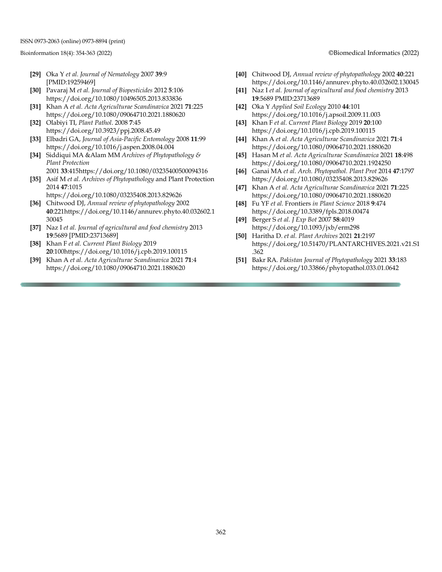- **[29]** Oka Y *et al. Journal of Nematology* 2007 **39**:9 [PMID:19259469]
- **[30]** Pavaraj M *et al. Journal of Biopesticides* 2012 **5**:106 https://doi.org/10.1080/10496505.2013.833836
- **[31]** Khan A *et al. Acta Agriculturae Scandinavica* 2021 **71**:225 https://doi.org/10.1080/09064710.2021.1880620
- **[32]** Olabiyi TI, *Plant Pathol*. 2008 **7**:45 https://doi.org/10.3923/ppj.2008.45.49
- **[33]** Elbadri GA, *Journal of Asia-Pacific Entomology* 2008 **11**:99 https://doi.org/10.1016/j.aspen.2008.04.004
- **[34]** Siddiqui MA &Alam MM *Archives of Phytopathology & Plant Protection*
- 2001 **33**:41[5https://doi.org/10.1080/03235400500094316](https://doi.org/10.1080/03235400500094316)
- **[35]** Asif M *et al. Archives of Phytopathology* and Plant Protection 2014 **47**:1015
- [https://doi.org/1](https://doi.org/)0.1080/03235408.2013.829626 **[36]** Chitwood DJ, *Annual review of phytopathology* 2002
- **40**:221https://doi.org/10.1146/annurev.phyto.40.032602.1 30045
- **[37]** Naz I *et al. Journal of agricultural and food chemistry* 2013 **19**:5689 [PMID:23713689]
- **[38]** Khan F *et al. Current Plant Biology* 2019 **20**:100https://doi.org/10.1016/j.cpb.2019.100115
- **[39]** Khan A *et al. Acta Agriculturae Scandinavica* 2021 **71**:4 <https://doi.org/10.1080/09064710.2021.1880620>

Bioinformation 18(4): 354-363 (2022) ©Biomedical Informatics (2022)

- **[40]** Chitwood DJ, *Annual review of phytopathology* 2002 **40**:221 https://doi.org/10.1146/annurev.phyto.40.032602.130045
- **[41]** Naz I *et al. Journal of agricultural and food chemistry* 2013 **19**:5689 PMID:23713689
- **[42]** Oka Y *Applied Soil Ecology* 2010 **44**:101 https://doi.org/10.1016/j.apsoil.2009.11.003
- **[43]** Khan F *et al. Current Plant Biology* 2019 **20**:100 https://doi.org/10.1016/j.cpb.2019.100115
- **[44]** Khan A *et al. Acta Agriculturae Scandinavica* 2021 **71**:4 <https://doi.org/10.1080/09064710.2021.1880620>
- **[45]** Hasan M *et al. Acta Agriculturae Scandinavica* 2021 **18**:498 https://doi.org/10.1080/09064710.2021.1924250
- **[46]** Ganai MA *et al. Arch. Phytopathol. Plant Prot* 2014 **47**:1797 https://doi.org/10.1080/03235408.2013.829626
- **[47]** Khan A *et al. Acta Agriculturae Scandinavica* 2021 **71**:225 https://doi.org/10.1080/09064710.2021.1880620
- **[48]** Fu YF *et al.* Frontiers *in Plant Science* 2018 **9**:474 https://doi.org/10.3389/fpls.2018.00474
- **[49]** Berger S *et al. J Exp Bot* 2007 **58**:4019 https://doi.org/10.1093/jxb/erm298
- **[50]** Haritha D. *et al. Plant Archives* 2021 **21**:2197 https://doi.org/10.51470/PLANTARCHIVES.2021.v21.S1 .362
- **[51]** Bakr RA. *Pakistan Journal of Phytopathology* 2021 **33**:183 https://doi.org/10.33866/phytopathol.033.01.0642